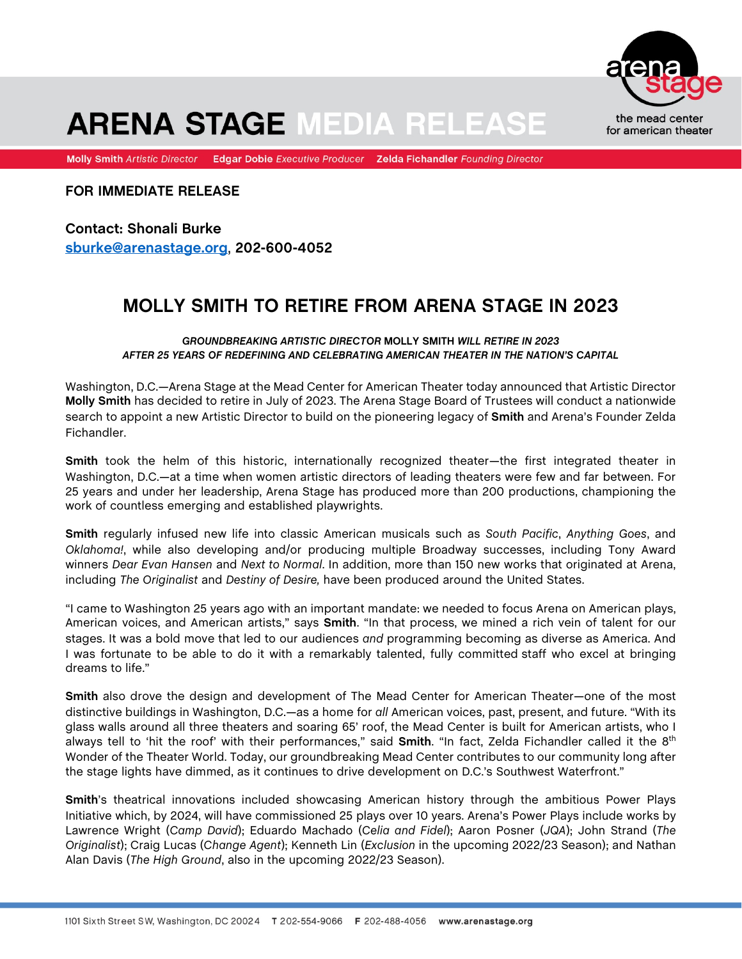

## **ARENA STAGE MEDIA RELEASE**

Molly Smith Artistic Director Edgar Dobie Executive Producer Zelda Fichandler Founding Director

**FOR IMMEDIATE RELEASE**

**Contact: Shonali Burke sburke@arenastage.org**, **202-600-4052**

## **MOLLY SMITH TO RETIRE FROM ARENA STAGE IN 2023**

*GROUNDBREAKING ARTISTIC DIRECTOR* **MOLLY SMITH** *WILL RETIRE IN 2023 AFTER 25 YEARS OF REDEFINING AND CELEBRATING AMERICAN THEATER IN THE NATION'S CAPITAL* 

Washington, D.C.—Arena Stage at the Mead Center for American Theater today announced that Artistic Director **Molly Smith** has decided to retire in July of 2023. The Arena Stage Board of Trustees will conduct a nationwide search to appoint a new Artistic Director to build on the pioneering legacy of **Smith** and Arena's Founder Zelda Fichandler.

**Smith** took the helm of this historic, internationally recognized theater—the first integrated theater in Washington, D.C.—at a time when women artistic directors of leading theaters were few and far between. For 25 years and under her leadership, Arena Stage has produced more than 200 productions, championing the work of countless emerging and established playwrights.

**Smith** regularly infused new life into classic American musicals such as *South Pacific*, *Anything Goes*, and *Oklahoma!*, while also developing and/or producing multiple Broadway successes, including Tony Award winners *Dear Evan Hansen* and *Next to Normal*. In addition, more than 150 new works that originated at Arena, including *The Originalist* and *Destiny of Desire,* have been produced around the United States.

"I came to Washington 25 years ago with an important mandate: we needed to focus Arena on American plays, American voices, and American artists," says **Smith**. "In that process, we mined a rich vein of talent for our stages. It was a bold move that led to our audiences *and* programming becoming as diverse as America. And I was fortunate to be able to do it with a remarkably talented, fully committed staff who excel at bringing dreams to life."

**Smith** also drove the design and development of The Mead Center for American Theater—one of the most distinctive buildings in Washington, D.C.—as a home for *all* American voices, past, present, and future. "With its glass walls around all three theaters and soaring 65' roof, the Mead Center is built for American artists, who I always tell to 'hit the roof' with their performances," said **Smith**. "In fact, Zelda Fichandler called it the 8th Wonder of the Theater World. Today, our groundbreaking Mead Center contributes to our community long after the stage lights have dimmed, as it continues to drive development on D.C.'s Southwest Waterfront."

**Smith**'s theatrical innovations included showcasing American history through the ambitious Power Plays Initiative which, by 2024, will have commissioned 25 plays over 10 years. Arena's Power Plays include works by Lawrence Wright (*Camp David*); Eduardo Machado (*Celia and Fidel*); Aaron Posner (*JQA*); John Strand (*The Originalist*); Craig Lucas (*Change Agent*); Kenneth Lin (*Exclusion* in the upcoming 2022/23 Season); and Nathan Alan Davis (*The High Ground*, also in the upcoming 2022/23 Season).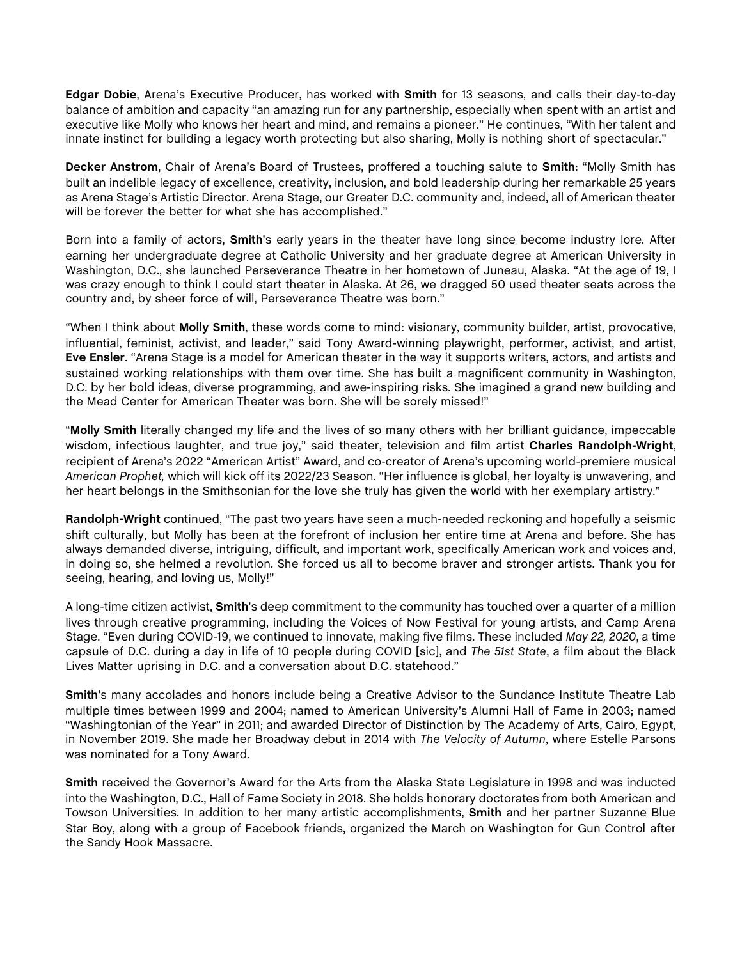**Edgar Dobie**, Arena's Executive Producer, has worked with **Smith** for 13 seasons, and calls their day-to-day balance of ambition and capacity "an amazing run for any partnership, especially when spent with an artist and executive like Molly who knows her heart and mind, and remains a pioneer." He continues, "With her talent and innate instinct for building a legacy worth protecting but also sharing, Molly is nothing short of spectacular."

**Decker Anstrom**, Chair of Arena's Board of Trustees, proffered a touching salute to **Smith**: "Molly Smith has built an indelible legacy of excellence, creativity, inclusion, and bold leadership during her remarkable 25 years as Arena Stage's Artistic Director. Arena Stage, our Greater D.C. community and, indeed, all of American theater will be forever the better for what she has accomplished."

Born into a family of actors, **Smith**'s early years in the theater have long since become industry lore. After earning her undergraduate degree at Catholic University and her graduate degree at American University in Washington, D.C., she launched Perseverance Theatre in her hometown of Juneau, Alaska. "At the age of 19, I was crazy enough to think I could start theater in Alaska. At 26, we dragged 50 used theater seats across the country and, by sheer force of will, Perseverance Theatre was born."

"When I think about **Molly Smith**, these words come to mind: visionary, community builder, artist, provocative, influential, feminist, activist, and leader," said Tony Award-winning playwright, performer, activist, and artist, **Eve Ensler**. "Arena Stage is a model for American theater in the way it supports writers, actors, and artists and sustained working relationships with them over time. She has built a magnificent community in Washington, D.C. by her bold ideas, diverse programming, and awe-inspiring risks. She imagined a grand new building and the Mead Center for American Theater was born. She will be sorely missed!"

"**Molly Smith** literally changed my life and the lives of so many others with her brilliant guidance, impeccable wisdom, infectious laughter, and true joy," said theater, television and film artist **Charles Randolph-Wright**, recipient of Arena's 2022 "American Artist" Award, and co-creator of Arena's upcoming world-premiere musical *American Prophet,* which will kick off its 2022/23 Season. "Her influence is global, her loyalty is unwavering, and her heart belongs in the Smithsonian for the love she truly has given the world with her exemplary artistry."

**Randolph-Wright** continued, "The past two years have seen a much-needed reckoning and hopefully a seismic shift culturally, but Molly has been at the forefront of inclusion her entire time at Arena and before. She has always demanded diverse, intriguing, difficult, and important work, specifically American work and voices and, in doing so, she helmed a revolution. She forced us all to become braver and stronger artists. Thank you for seeing, hearing, and loving us, Molly!"

A long-time citizen activist, **Smith**'s deep commitment to the community has touched over a quarter of a million lives through creative programming, including the Voices of Now Festival for young artists, and Camp Arena Stage. "Even during COVID-19, we continued to innovate, making five films. These included *May 22, 2020*, a time capsule of D.C. during a day in life of 10 people during COVID [sic], and *The 51st State*, a film about the Black Lives Matter uprising in D.C. and a conversation about D.C. statehood."

**Smith**'s many accolades and honors include being a Creative Advisor to the Sundance Institute Theatre Lab multiple times between 1999 and 2004; named to American University's Alumni Hall of Fame in 2003; named "Washingtonian of the Year" in 2011; and awarded Director of Distinction by The Academy of Arts, Cairo, Egypt, in November 2019. She made her Broadway debut in 2014 with *The Velocity of Autumn*, where Estelle Parsons was nominated for a Tony Award.

**Smith** received the Governor's Award for the Arts from the Alaska State Legislature in 1998 and was inducted into the Washington, D.C., Hall of Fame Society in 2018. She holds honorary doctorates from both American and Towson Universities. In addition to her many artistic accomplishments, **Smith** and her partner Suzanne Blue Star Boy, along with a group of Facebook friends, organized the March on Washington for Gun Control after the Sandy Hook Massacre.